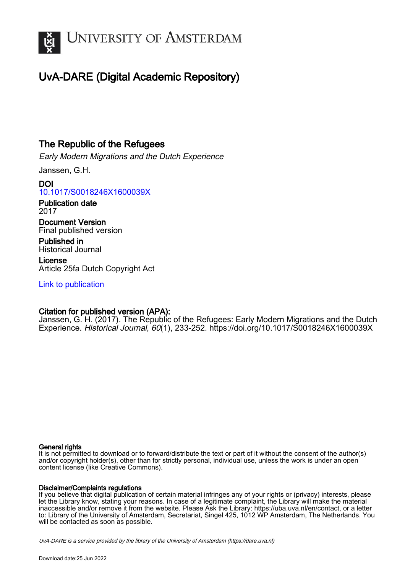

# UvA-DARE (Digital Academic Repository)

# The Republic of the Refugees

Early Modern Migrations and the Dutch Experience

Janssen, G.H.

DOI [10.1017/S0018246X1600039X](https://doi.org/10.1017/S0018246X1600039X)

Publication date 2017

Document Version Final published version

Published in Historical Journal

License Article 25fa Dutch Copyright Act

[Link to publication](https://dare.uva.nl/personal/pure/en/publications/the-republic-of-the-refugees(16c62c94-7d24-4d2d-9fe1-18054166bd95).html)

# Citation for published version (APA):

Janssen, G. H. (2017). The Republic of the Refugees: Early Modern Migrations and the Dutch Experience. Historical Journal, 60(1), 233-252. <https://doi.org/10.1017/S0018246X1600039X>

### General rights

It is not permitted to download or to forward/distribute the text or part of it without the consent of the author(s) and/or copyright holder(s), other than for strictly personal, individual use, unless the work is under an open content license (like Creative Commons).

### Disclaimer/Complaints regulations

If you believe that digital publication of certain material infringes any of your rights or (privacy) interests, please let the Library know, stating your reasons. In case of a legitimate complaint, the Library will make the material inaccessible and/or remove it from the website. Please Ask the Library: https://uba.uva.nl/en/contact, or a letter to: Library of the University of Amsterdam, Secretariat, Singel 425, 1012 WP Amsterdam, The Netherlands. You will be contacted as soon as possible.

UvA-DARE is a service provided by the library of the University of Amsterdam (http*s*://dare.uva.nl)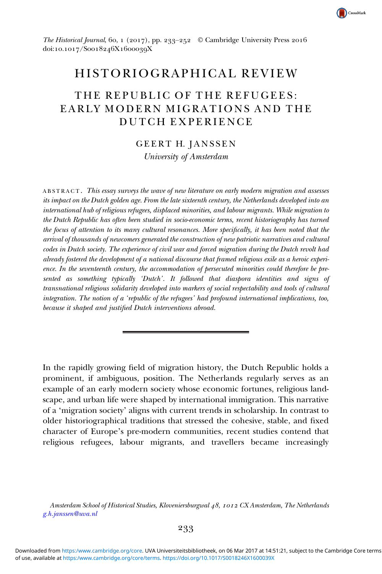

The Historical Journal, 60, 1 (2017), pp. 233–252 © Cambridge University Press 2016 doi:10.1017/Soo18246X1600039X

# HISTORIOGRAPHICAL REVIEW

# THE REPUBLIC OF THE REFUGEES: EARLY MODERN MIGRATIONS AND THE DUTCH EXPERIENCE

### GEERT H. JANSSEN

University of Amsterdam

ABSTRACT . This essay surveys the wave of new literature on early modern migration and assesses its impact on the Dutch golden age. From the late sixteenth century, the Netherlands developed into an international hub of religious refugees, displaced minorities, and labour migrants. While migration to the Dutch Republic has often been studied in socio-economic terms, recent historiography has turned the focus of attention to its many cultural resonances. More specifically, it has been noted that the arrival of thousands of newcomers generated the construction of new patriotic narratives and cultural codes in Dutch society. The experience of civil war and forced migration during the Dutch revolt had already fostered the development of a national discourse that framed religious exile as a heroic experience. In the seventeenth century, the accommodation of persecuted minorities could therefore be presented as something typically 'Dutch'. It followed that diaspora identities and signs of transnational religious solidarity developed into markers of social respectability and tools of cultural integration. The notion of a 'republic of the refugees' had profound international implications, too, because it shaped and justified Dutch interventions abroad.

In the rapidly growing field of migration history, the Dutch Republic holds a prominent, if ambiguous, position. The Netherlands regularly serves as an example of an early modern society whose economic fortunes, religious landscape, and urban life were shaped by international immigration. This narrative of a 'migration society' aligns with current trends in scholarship. In contrast to older historiographical traditions that stressed the cohesive, stable, and fixed character of Europe's pre-modern communities, recent studies contend that religious refugees, labour migrants, and travellers became increasingly

Amsterdam School of Historical Studies, Kloveniersburgwal 48, 1012 CX Amsterdam, The Netherlands [g.h.janssen@uva.nl](mailto:g.h.janssen@uva.nl)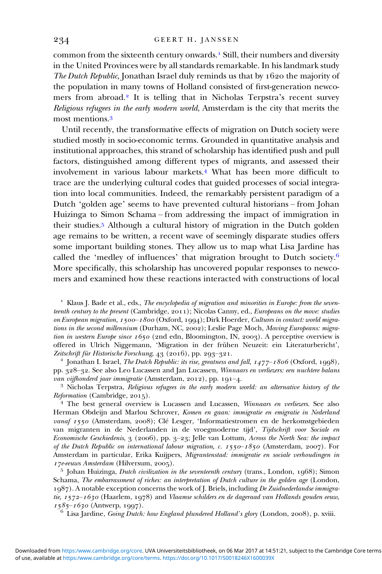common from the sixteenth century onwards.<sup>1</sup> Still, their numbers and diversity in the United Provinces were by all standards remarkable. In his landmark study The Dutch Republic, Jonathan Israel duly reminds us that by  $1620$  the majority of the population in many towns of Holland consisted of first-generation newcomers from abroad.<sup>2</sup> It is telling that in Nicholas Terpstra's recent survey Religious refugees in the early modern world, Amsterdam is the city that merits the most mentions.

Until recently, the transformative effects of migration on Dutch society were studied mostly in socio-economic terms. Grounded in quantitative analysis and institutional approaches, this strand of scholarship has identified push and pull factors, distinguished among different types of migrants, and assessed their involvement in various labour markets.<sup>4</sup> What has been more difficult to trace are the underlying cultural codes that guided processes of social integration into local communities. Indeed, the remarkably persistent paradigm of a Dutch 'golden age' seems to have prevented cultural historians – from Johan Huizinga to Simon Schama – from addressing the impact of immigration in their studies.<sup>5</sup> Although a cultural history of migration in the Dutch golden age remains to be written, a recent wave of seemingly disparate studies offers some important building stones. They allow us to map what Lisa Jardine has called the 'medley of influences' that migration brought to Dutch society. $6$ More specifically, this scholarship has uncovered popular responses to newcomers and examined how these reactions interacted with constructions of local

 $<sup>1</sup>$  Klaus J. Bade et al., eds., The encyclopedia of migration and minorities in Europe: from the seven-</sup> teenth century to the present (Cambridge, 2011); Nicolas Canny, ed., Europeans on the move: studies on European migration, 1500-1800 (Oxford, 1994); Dirk Hoerder, Cultures in contact: world migrations in the second millennium (Durham, NC, 2002); Leslie Page Moch, Moving Europeans: migration in western Europe since  $1650$  (2nd edn, Bloomington, IN, 2003). A perceptive overview is offered in Ulrich Niggemann, 'Migration in der frühen Neuzeit: ein Literaturbericht', *Zeitschrift für Historische Forschung*,  $43$  (2016), pp. 293–321.<br><sup>2</sup> Jonathan I. Israel, *The Dutch Republic: its rise, greatness and fall, 1477–1806* (Oxford, 1998),

pp. 328-32. See also Leo Lucassen and Jan Lucassen, Winnaars en verliezers: een nuchtere balans van vijfhonderd jaar immigratie (Amsterdam, 2012), pp. 191–4.<br><sup>3</sup> Nicholas Terpstra, *Religious refugees in the early modern world: an alternative history of the* 

Reformation (Cambridge, 2015).<br><sup>4</sup> The best general overview is Lucassen and Lucassen, *Winnaars en verliezers*. See also

Herman Obdeijn and Marlou Schrover, Komen en gaan: immigratie en emigratie in Nederland vanaf 1550 (Amsterdam, 2008); Clé Lesger, 'Informatiestromen en de herkomstgebieden van migranten in de Nederlanden in de vroegmoderne tijd', Tijdschrift voor Sociale en Economische Geschiedenis, 3 (2006), pp. 3-23; Jelle van Lottum, Across the North Sea: the impact of the Dutch Republic on international labour migration, c.  $1550 - 1850$  (Amsterdam, 2007). For Amsterdam in particular, Erika Kuijpers, Migrantenstad: immigratie en sociale verhoudingen in *r* 7e-eeuws Amsterdam (Hilversum, 2005).<br><sup>5</sup> Johan Huizinga, *Dutch civilization in the seventeenth century* (trans., London, 1968); Simon

Schama, The embarrassment of riches: an interpretation of Dutch culture in the golden age (London,  $1987$ ). A notable exception concerns the work of J. Briels, including *De Zuidnederlandse immigra*tie,  $1572-1630$  (Haarlem,  $1978$ ) and Vlaamse schilders en de dageraad van Hollands gouden eeuw,  $1585 - 1630$  (Antwerp, 1997).<br><sup>6</sup> Lisa Jardine, *Going Dutch: how England plundered Holland's glory* (London, 2008), p. xviii.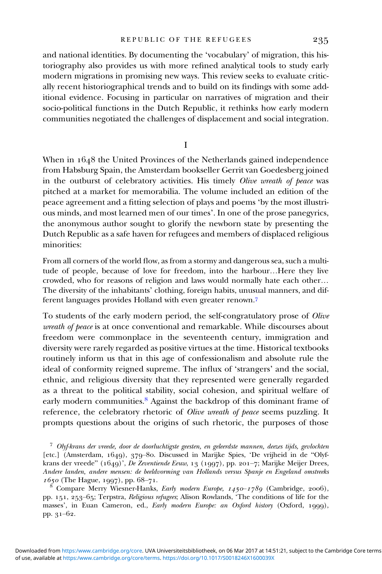and national identities. By documenting the 'vocabulary' of migration, this historiography also provides us with more refined analytical tools to study early modern migrations in promising new ways. This review seeks to evaluate critically recent historiographical trends and to build on its findings with some additional evidence. Focusing in particular on narratives of migration and their socio-political functions in the Dutch Republic, it rethinks how early modern communities negotiated the challenges of displacement and social integration.

I

When in 1648 the United Provinces of the Netherlands gained independence from Habsburg Spain, the Amsterdam bookseller Gerrit van Goedesberg joined in the outburst of celebratory activities. His timely Olive wreath of peace was pitched at a market for memorabilia. The volume included an edition of the peace agreement and a fitting selection of plays and poems 'by the most illustrious minds, and most learned men of our times'. In one of the prose panegyrics, the anonymous author sought to glorify the newborn state by presenting the Dutch Republic as a safe haven for refugees and members of displaced religious minorities:

From all corners of the world flow, as from a stormy and dangerous sea, such a multitude of people, because of love for freedom, into the harbour…Here they live crowded, who for reasons of religion and laws would normally hate each other… The diversity of the inhabitants' clothing, foreign habits, unusual manners, and different languages provides Holland with even greater renown.

To students of the early modern period, the self-congratulatory prose of Olive wreath of peace is at once conventional and remarkable. While discourses about freedom were commonplace in the seventeenth century, immigration and diversity were rarely regarded as positive virtues at the time. Historical textbooks routinely inform us that in this age of confessionalism and absolute rule the ideal of conformity reigned supreme. The influx of 'strangers' and the social, ethnic, and religious diversity that they represented were generally regarded as a threat to the political stability, social cohesion, and spiritual welfare of early modern communities.<sup>8</sup> Against the backdrop of this dominant frame of reference, the celebratory rhetoric of Olive wreath of peace seems puzzling. It prompts questions about the origins of such rhetoric, the purposes of those

 Olyf-krans der vreede, door de doorluchtigste geesten, en geleerdste mannen, deezes tijds, gevlochten [etc.] (Amsterdam, 1649), 379-80. Discussed in Marijke Spies, 'De vrijheid in de "Olyfkrans der vreede"  $(1649)'$ , De Zeventiende Eeuw, 13  $(1997)$ , pp. 201-7; Marijke Meijer Drees, Andere landen, andere mensen: de beeldvorming van Hollands versus Spanje en Engeland omstreeks  $\frac{1650}{8}$  (The Hague, 1997), pp. 68–71.<br>
<sup>8</sup> Compare Merry Wiesner-Hanks, *Early modern Europe*, 1450–1789 (Cambridge, 2006),

pp. 151, 253-65; Terpstra, Religious refugees; Alison Rowlands, 'The conditions of life for the masses', in Euan Cameron, ed., Early modern Europe: an Oxford history (Oxford, 1999), pp.  $31-62$ .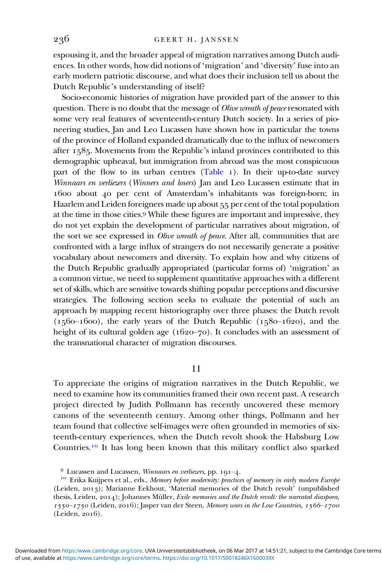espousing it, and the broader appeal of migration narratives among Dutch audiences. In other words, how did notions of 'migration' and 'diversity' fuse into an early modern patriotic discourse, and what does their inclusion tell us about the Dutch Republic's understanding of itself?

Socio-economic histories of migration have provided part of the answer to this question. There is no doubt that the message of *Olive wreath of peace* resonated with some very real features of seventeenth-century Dutch society. In a series of pioneering studies, Jan and Leo Lucassen have shown how in particular the towns of the province of Holland expanded dramatically due to the influx of newcomers after  $1585$ . Movements from the Republic's inland provinces contributed to this demographic upheaval, but immigration from abroad was the most conspicuous part of the flow to its urban centres  $(Table_1)$  $(Table_1)$  $(Table_1)$ . In their up-to-date survey Winnaars en verliezers (Winners and losers) Jan and Leo Lucassen estimate that in 1600 about 40 per cent of Amsterdam's inhabitants was foreign-born; in Haarlem and Leiden foreigners made up about 55 per cent of the total population at the time in those cities. While these figures are important and impressive, they do not yet explain the development of particular narratives about migration, of the sort we see expressed in Olive wreath of peace. After all, communities that are confronted with a large influx of strangers do not necessarily generate a positive vocabulary about newcomers and diversity. To explain how and why citizens of the Dutch Republic gradually appropriated (particular forms of) 'migration' as a common virtue, we need to supplement quantitative approaches with a different set of skills, which are sensitive towards shifting popular perceptions and discursive strategies. The following section seeks to evaluate the potential of such an approach by mapping recent historiography over three phases: the Dutch revolt  $(1560-1600)$ , the early years of the Dutch Republic  $(1580-1620)$ , and the height of its cultural golden age  $(1620–70)$ . It concludes with an assessment of the transnational character of migration discourses.

#### I I

To appreciate the origins of migration narratives in the Dutch Republic, we need to examine how its communities framed their own recent past. A research project directed by Judith Pollmann has recently uncovered these memory canons of the seventeenth century. Among other things, Pollmann and her team found that collective self-images were often grounded in memories of sixteenth-century experiences, when the Dutch revolt shook the Habsburg Low Countries.<sup>10</sup> It has long been known that this military conflict also sparked

<sup>&</sup>lt;sup>9</sup> Lucassen and Lucassen, *Winnaars en verliezers*, pp. 191–4.<br><sup>10</sup> Erika Kuijpers et al., eds., *Memory before modernity: practices of memory in early modern Europe* (Leiden, 2013); Marianne Eekhout, 'Material memories of the Dutch revolt' (unpublished thesis, Leiden,  $2014$ ); Johannes Müller, Exile memories and the Dutch revolt: the narrated diaspora,  $1550 - 1750$  (Leiden, 2016); Jasper van der Steen, Memory wars in the Low Countries,  $1566 - 1700$  $(Leiden, 2016).$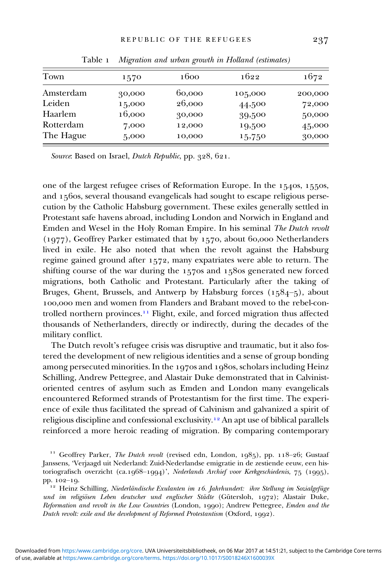<span id="page-5-0"></span>

| Town      | 1570   | 1600   | 1622    | 1672    |
|-----------|--------|--------|---------|---------|
| Amsterdam | 30,000 | 60,000 | 105,000 | 200,000 |
| Leiden    | 15,000 | 26,000 | 44,500  | 72,000  |
| Haarlem   | 16,000 | 30,000 | 39,500  | 50,000  |
| Rotterdam | 7,000  | 12,000 | 19,500  | 45,000  |
| The Hague | 5,000  | 10,000 | 15,750  | 30,000  |

Table 1 Migration and urban growth in Holland (estimates)

Source: Based on Israel, *Dutch Republic*, pp.  $328, 621$ .

one of the largest refugee crises of Reformation Europe. In the  $1540s$ ,  $1550s$ , and  $156$ os, several thousand evangelicals had sought to escape religious persecution by the Catholic Habsburg government. These exiles generally settled in Protestant safe havens abroad, including London and Norwich in England and Emden and Wesel in the Holy Roman Empire. In his seminal The Dutch revolt  $(1977)$ , Geoffrey Parker estimated that by 1570, about 60,000 Netherlanders lived in exile. He also noted that when the revolt against the Habsburg regime gained ground after 1572, many expatriates were able to return. The shifting course of the war during the  $157$ os and  $158$ os generated new forced migrations, both Catholic and Protestant. Particularly after the taking of Bruges, Ghent, Brussels, and Antwerp by Habsburg forces  $(1584-5)$ , about 100,000 men and women from Flanders and Brabant moved to the rebel-controlled northern provinces.<sup>11</sup> Flight, exile, and forced migration thus affected thousands of Netherlanders, directly or indirectly, during the decades of the military conflict.

The Dutch revolt's refugee crisis was disruptive and traumatic, but it also fostered the development of new religious identities and a sense of group bonding among persecuted minorities. In the 1970s and 1980s, scholars including Heinz Schilling, Andrew Pettegree, and Alastair Duke demonstrated that in Calvinistoriented centres of asylum such as Emden and London many evangelicals encountered Reformed strands of Protestantism for the first time. The experience of exile thus facilitated the spread of Calvinism and galvanized a spirit of religious discipline and confessional exclusivity.<sup>12</sup> An apt use of biblical parallels reinforced a more heroic reading of migration. By comparing contemporary

<sup>11</sup> Geoffrey Parker, *The Dutch revolt* (revised edn, London, 1985), pp. 118–26; Gustaaf Janssens, 'Verjaagd uit Nederland: Zuid-Nederlandse emigratie in de zestiende eeuw, een historiografisch overzicht (ca.1968–1994)', Nederlands Archief voor Kerkgeschiedenis, 75 (1995), pp. 102–19.

 $h^{12}$  Heinz Schilling, Niederländische Exulanten im 16. Jahrhundert: ihre Stellung im Sozialgefüge und im religiösen Leben deutscher und englischer Städte (Gütersloh,  $1972$ ); Alastair Duke, Reformation and revolt in the Low Countries (London, 1990); Andrew Pettegree, Emden and the Dutch revolt: exile and the development of Reformed Protestantism (Oxford, 1992).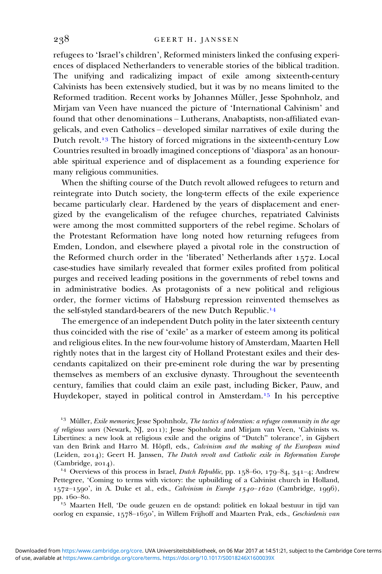refugees to 'Israel's children', Reformed ministers linked the confusing experiences of displaced Netherlanders to venerable stories of the biblical tradition. The unifying and radicalizing impact of exile among sixteenth-century Calvinists has been extensively studied, but it was by no means limited to the Reformed tradition. Recent works by Johannes Müller, Jesse Spohnholz, and Mirjam van Veen have nuanced the picture of 'International Calvinism' and found that other denominations – Lutherans, Anabaptists, non-affiliated evangelicals, and even Catholics – developed similar narratives of exile during the Dutch revolt.<sup>13</sup> The history of forced migrations in the sixteenth-century Low Countries resulted in broadly imagined conceptions of 'diaspora' as an honourable spiritual experience and of displacement as a founding experience for many religious communities.

When the shifting course of the Dutch revolt allowed refugees to return and reintegrate into Dutch society, the long-term effects of the exile experience became particularly clear. Hardened by the years of displacement and energized by the evangelicalism of the refugee churches, repatriated Calvinists were among the most committed supporters of the rebel regime. Scholars of the Protestant Reformation have long noted how returning refugees from Emden, London, and elsewhere played a pivotal role in the construction of the Reformed church order in the 'liberated' Netherlands after 1572. Local case-studies have similarly revealed that former exiles profited from political purges and received leading positions in the governments of rebel towns and in administrative bodies. As protagonists of a new political and religious order, the former victims of Habsburg repression reinvented themselves as the self-styled standard-bearers of the new Dutch Republic.

The emergence of an independent Dutch polity in the later sixteenth century thus coincided with the rise of 'exile' as a marker of esteem among its political and religious elites. In the new four-volume history of Amsterdam, Maarten Hell rightly notes that in the largest city of Holland Protestant exiles and their descendants capitalized on their pre-eminent role during the war by presenting themselves as members of an exclusive dynasty. Throughout the seventeenth century, families that could claim an exile past, including Bicker, Pauw, and Huydekoper, stayed in political control in Amsterdam.<sup>15</sup> In his perceptive

<sup>13</sup> Müller, Exile memories; Jesse Spohnholz, The tactics of toleration: a refugee community in the age of religious wars (Newark, NJ, 2011); Jesse Spohnholz and Mirjam van Veen, 'Calvinists vs. Libertines: a new look at religious exile and the origins of "Dutch" tolerance', in Gijsbert van den Brink and Harro M. Höpfl, eds., Calvinism and the making of the European mind (Leiden, 2014); Geert H. Janssen, The Dutch revolt and Catholic exile in Reformation Europe (Cambridge, 2014). <br><sup>14</sup> Overviews of this process in Israel, *Dutch Republic*, pp. 158–60, 179–84, 341–4; Andrew

Pettegree, 'Coming to terms with victory: the upbuilding of a Calvinist church in Holland,  $1572-1590$ ', in A. Duke et al., eds., *Calvinism in Europe 1540-1620* (Cambridge, 1996), pp. 160-80.

 $15$  Maarten Hell, 'De oude geuzen en de opstand: politiek en lokaal bestuur in tijd van oorlog en expansie, 1578–1650', in Willem Frijhoff and Maarten Prak, eds., Geschiedenis van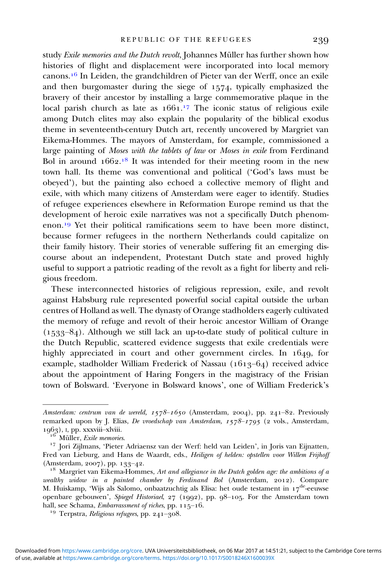study Exile memories and the Dutch revolt, Johannes Müller has further shown how histories of flight and displacement were incorporated into local memory  $canons.<sup>16</sup>$  In Leiden, the grandchildren of Pieter van der Werff, once an exile and then burgomaster during the siege of  $1574$ , typically emphasized the bravery of their ancestor by installing a large commemorative plaque in the local parish church as late as 1661.<sup>17</sup> The iconic status of religious exile among Dutch elites may also explain the popularity of the biblical exodus theme in seventeenth-century Dutch art, recently uncovered by Margriet van Eikema-Hommes. The mayors of Amsterdam, for example, commissioned a large painting of Moses with the tablets of law or Moses in exile from Ferdinand Bol in around 1662.<sup>18</sup> It was intended for their meeting room in the new town hall. Its theme was conventional and political ('God's laws must be obeyed'), but the painting also echoed a collective memory of flight and exile, with which many citizens of Amsterdam were eager to identify. Studies of refugee experiences elsewhere in Reformation Europe remind us that the development of heroic exile narratives was not a specifically Dutch phenomenon.<sup>19</sup> Yet their political ramifications seem to have been more distinct, because former refugees in the northern Netherlands could capitalize on their family history. Their stories of venerable suffering fit an emerging discourse about an independent, Protestant Dutch state and proved highly useful to support a patriotic reading of the revolt as a fight for liberty and religious freedom.

These interconnected histories of religious repression, exile, and revolt against Habsburg rule represented powerful social capital outside the urban centres of Holland as well. The dynasty of Orange stadholders eagerly cultivated the memory of refuge and revolt of their heroic ancestor William of Orange  $(1533 - 84)$ . Although we still lack an up-to-date study of political culture in the Dutch Republic, scattered evidence suggests that exile credentials were highly appreciated in court and other government circles. In  $1649$ , for example, stadholder William Frederick of Nassau ( $1613-64$ ) received advice about the appointment of Haring Fongers in the magistracy of the Frisian town of Bolsward. 'Everyone in Bolsward knows', one of William Frederick's

Amsterdam: centrum van de wereld,  $1578-1650$  (Amsterdam, 2004), pp. 241-82. Previously remarked upon by J. Elias, De vroedschap van Amsterdam,  $1578-1795$  (2 vols., Amsterdam, 1963), I, pp. xxxviii–xlviii.<br> <sup>16</sup> Müller, *Exile memories*.<br> <sup>17</sup> Jori Zijlmans, 'Pieter Adriaensz van der Werf: held van Leiden', in Joris van Eijnatten,

Fred van Lieburg, and Hans de Waardt, eds., Heiligen of helden: opstellen voor Willem Frijhoff (Amsterdam, 2007), pp. 133–42.<br><sup>18</sup> Margriet van Eikema-Hommes, Art and allegiance in the Dutch golden age: the ambitions of a

wealthy widow in a painted chamber by Ferdinand Bol (Amsterdam,  $2012$ ). Compare M. Huiskamp, 'Wijs als Salomo, onbaatzuchtig als Elisa: het oude testament in  $17^{\text{de}}$ -eeuwse openbare gebouwen', Spiegel Historiael, 27 (1992), pp. 98-105. For the Amsterdam town hall, see Schama, *Embarrassment of riches*, pp.  $115-16$ .<br><sup>19</sup> Terpstra, *Religious refugees*, pp.  $241-308$ .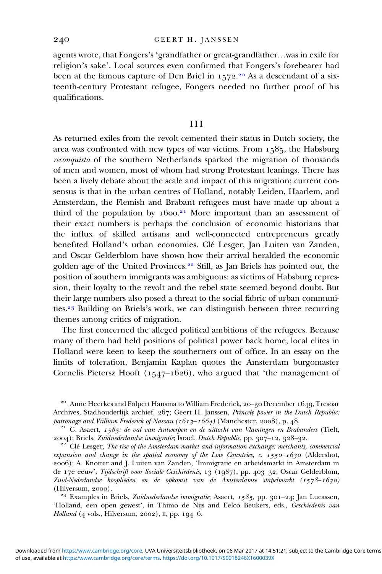agents wrote, that Fongers's 'grandfather or great-grandfather…was in exile for religion's sake'. Local sources even confirmed that Fongers's forebearer had been at the famous capture of Den Briel in 1572.<sup>20</sup> As a descendant of a sixteenth-century Protestant refugee, Fongers needed no further proof of his qualifications.

#### III

As returned exiles from the revolt cemented their status in Dutch society, the area was confronted with new types of war victims. From  $1585$ , the Habsburg reconquista of the southern Netherlands sparked the migration of thousands of men and women, most of whom had strong Protestant leanings. There has been a lively debate about the scale and impact of this migration; current consensus is that in the urban centres of Holland, notably Leiden, Haarlem, and Amsterdam, the Flemish and Brabant refugees must have made up about a third of the population by 1600.<sup>21</sup> More important than an assessment of their exact numbers is perhaps the conclusion of economic historians that the influx of skilled artisans and well-connected entrepreneurs greatly benefited Holland's urban economies. Clé Lesger, Jan Luiten van Zanden, and Oscar Gelderblom have shown how their arrival heralded the economic golden age of the United Provinces.<sup>22</sup> Still, as Jan Briels has pointed out, the position of southern immigrants was ambiguous: as victims of Habsburg repression, their loyalty to the revolt and the rebel state seemed beyond doubt. But their large numbers also posed a threat to the social fabric of urban communities.<sup>23</sup> Building on Briels's work, we can distinguish between three recurring themes among critics of migration.

The first concerned the alleged political ambitions of the refugees. Because many of them had held positions of political power back home, local elites in Holland were keen to keep the southerners out of office. In an essay on the limits of toleration, Benjamin Kaplan quotes the Amsterdam burgomaster Cornelis Pietersz Hooft ( $1547-1626$ ), who argued that 'the management of

'Holland, een open gewest', in Thimo de Nijs and Eelco Beukers, eds., Geschiedenis van Holland  $(4 \text{ vols.}, \text{Hilversum}, 2002)$ , II, pp. 194-6.

<sup>&</sup>lt;sup>20</sup> Anne Heerkes and Folpert Hansma to William Frederick, 20-30 December 1649, Tresoar Archives, Stadhouderlijk archief,  $267$ ; Geert H. Janssen, *Princely power in the Dutch Republic:* patronage and William Frederick of Nassau ( $1613-1664$ ) (Manchester, 2008), p. 48.

<sup>&</sup>lt;sup>21</sup> G. Asaert, 1585: de val van Antwerpen en de uittocht van Vlamingen en Brabanders (Tielt, 2004); Briels, Zuidnederlandse immigratie, Israel, Dutch Republic, pp. 307–12, 328–32.

 $\frac{22}{12}$  Clé Lesger, The rise of the Amsterdam market and information exchange: merchants, commercial expansion and change in the spatial economy of the Low Countries, c.  $1550-1630$  (Aldershot, ); A. Knotter and J. Luiten van Zanden, 'Immigratie en arbeidsmarkt in Amsterdam in de 17e eeuw', Tijdschrift voor Sociale Geschiedenis, 13 (1987), pp. 403-32; Oscar Gelderblom, Zuid-Nederlandse kooplieden en de opkomst van de Amsterdamse stapelmarkt  $(1578-1630)$ (Hilversum, 2000). <sup>23</sup> Examples in Briels, *Zuidnederlandse immigratie*; Asaert,  $1585$ , pp. 301–24; Jan Lucassen,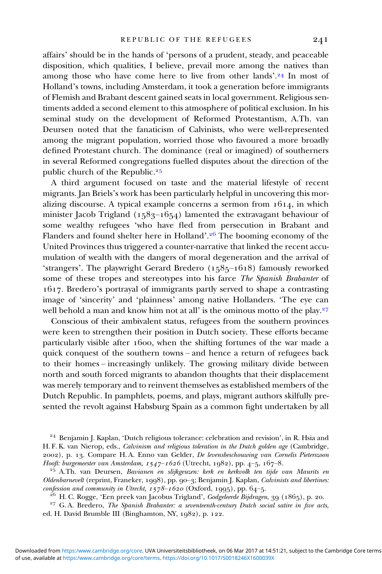affairs' should be in the hands of 'persons of a prudent, steady, and peaceable disposition, which qualities, I believe, prevail more among the natives than among those who have come here to live from other lands'.<sup>24</sup> In most of Holland's towns, including Amsterdam, it took a generation before immigrants of Flemish and Brabant descent gained seats in local government. Religious sentiments added a second element to this atmosphere of political exclusion. In his seminal study on the development of Reformed Protestantism, A.Th. van Deursen noted that the fanaticism of Calvinists, who were well-represented among the migrant population, worried those who favoured a more broadly defined Protestant church. The dominance (real or imagined) of southerners in several Reformed congregations fuelled disputes about the direction of the public church of the Republic.

A third argument focused on taste and the material lifestyle of recent migrants. Jan Briels's work has been particularly helpful in uncovering this moralizing discourse. A typical example concerns a sermon from  $1614$ , in which minister Jacob Trigland (1583–1654) lamented the extravagant behaviour of some wealthy refugees 'who have fled from persecution in Brabant and Flanders and found shelter here in Holland'.<sup>26</sup> The booming economy of the United Provinces thus triggered a counter-narrative that linked the recent accumulation of wealth with the dangers of moral degeneration and the arrival of 'strangers'. The playwright Gerard Bredero  $(1585-1618)$  famously reworked some of these tropes and stereotypes into his farce The Spanish Brabanter of . Bredero's portrayal of immigrants partly served to shape a contrasting image of 'sincerity' and 'plainness' among native Hollanders. 'The eye can well behold a man and know him not at all' is the ominous motto of the play.<sup>27</sup>

Conscious of their ambivalent status, refugees from the southern provinces were keen to strengthen their position in Dutch society. These efforts became particularly visible after 1600, when the shifting fortunes of the war made a quick conquest of the southern towns – and hence a return of refugees back to their homes – increasingly unlikely. The growing military divide between north and south forced migrants to abandon thoughts that their displacement was merely temporary and to reinvent themselves as established members of the Dutch Republic. In pamphlets, poems, and plays, migrant authors skilfully presented the revolt against Habsburg Spain as a common fight undertaken by all

 $^{26}$  H. C. Rogge, 'Een preek van Jacobus Trigland', Godgeleerde Bijdragen, 39 (1865), p. 20.<br><sup>27</sup> G. A. Bredero, *The Spanish Brabanter: a seventeenth-century Dutch social satire in five acts*,

ed. H. David Brumble III (Binghamton, NY, 1982), p. 122.

<sup>&</sup>lt;sup>24</sup> Benjamin J. Kaplan, 'Dutch religious tolerance: celebration and revision', in R. Hsia and H. F. K. van Nierop, eds., Calvinism and religious toleration in the Dutch golden age (Cambridge, ), p. . Compare H. A. Enno van Gelder, De levensbeschouwing van Cornelis Pieterszoon Hooft: burgemeester van Amsterdam, 1547–1626 (Utrecht, 1982), pp. 4–5, 167–8.<br><sup>25</sup> A.Th. van Deursen, Bavianen en slijkgeuzen: kerk en kerkvolk ten tijde van Maurits en

Oldenbarnevelt (reprint, Franeker, 1998), pp. 90–3; Benjamin J. Kaplan, Calvinists and libertines: confession and community in Utrecht,  $1578-1620$  (Oxford, 1995), pp. 64–5.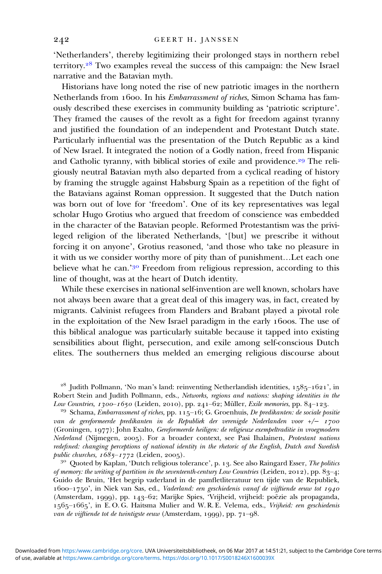'Netherlanders', thereby legitimizing their prolonged stays in northern rebel territory. $28$  Two examples reveal the success of this campaign: the New Israel narrative and the Batavian myth.

Historians have long noted the rise of new patriotic images in the northern Netherlands from 1600. In his *Embarrassment of riches*, Simon Schama has famously described these exercises in community building as 'patriotic scripture'. They framed the causes of the revolt as a fight for freedom against tyranny and justified the foundation of an independent and Protestant Dutch state. Particularly influential was the presentation of the Dutch Republic as a kind of New Israel. It integrated the notion of a Godly nation, freed from Hispanic and Catholic tyranny, with biblical stories of exile and providence.<sup>29</sup> The religiously neutral Batavian myth also departed from a cyclical reading of history by framing the struggle against Habsburg Spain as a repetition of the fight of the Batavians against Roman oppression. It suggested that the Dutch nation was born out of love for 'freedom'. One of its key representatives was legal scholar Hugo Grotius who argued that freedom of conscience was embedded in the character of the Batavian people. Reformed Protestantism was the privileged religion of the liberated Netherlands, '[but] we prescribe it without forcing it on anyone', Grotius reasoned, 'and those who take no pleasure in it with us we consider worthy more of pity than of punishment…Let each one believe what he can.' $30$  Freedom from religious repression, according to this line of thought, was at the heart of Dutch identity.

While these exercises in national self-invention are well known, scholars have not always been aware that a great deal of this imagery was, in fact, created by migrants. Calvinist refugees from Flanders and Brabant played a pivotal role in the exploitation of the New Israel paradigm in the early 1600s. The use of this biblical analogue was particularly suitable because it tapped into existing sensibilities about flight, persecution, and exile among self-conscious Dutch elites. The southerners thus melded an emerging religious discourse about

 $28$  Judith Pollmann, 'No man's land: reinventing Netherlandish identities, 1585-1621', in Robert Stein and Judith Pollmann, eds., *Networks, regions and nations: shaping identities in the Low Countries, 1300–1650* (Leiden, 2010), pp. 241–62; Müller, *Exile memories*, pp. 84–123.

<sup>29</sup> Schama, *Embarrassment of riches*, pp. 115–16; G. Groenhuis, De predikanten: de sociale positie van de gereformeerde predikanten in de Republiek der verenigde Nederlanden voor +/− (Groningen, 1977); John Exalto, Gereformeerde heiligen: de religieuze exempeltraditie in vroegmodern Nederland (Nijmegen, 2005). For a broader context, see Pasi Ihalainen, Protestant nations redefined: changing perceptions of national identity in the rhetoric of the English, Dutch and Swedish public churches,  $1685-1772$  (Leiden, 2005).<br><sup>30</sup> Quoted by Kaplan, 'Dutch religious tolerance', p. 13. See also Raingard Esser, *The politics* 

of memory: the writing of partition in the seventeenth-century Low Countries (Leiden, 2012), pp. 83-4; Guido de Bruin, 'Het begrip vaderland in de pamfletliteratuur ten tijde van de Republiek,  $1600-1750$ ', in Niek van Sas, ed., Vaderland: een geschiedenis vanaf de vijftiende eeuw tot 1940 (Amsterdam, 1999), pp. 143-62; Marijke Spies, 'Vrijheid, vrijheid: poëzie als propaganda, 1565-1665', in E. O. G. Haitsma Mulier and W. R. E. Velema, eds., Vrijheid: een geschiedenis van de vijftiende tot de twintigste eeuw (Amsterdam, 1999), pp.  $71-98$ .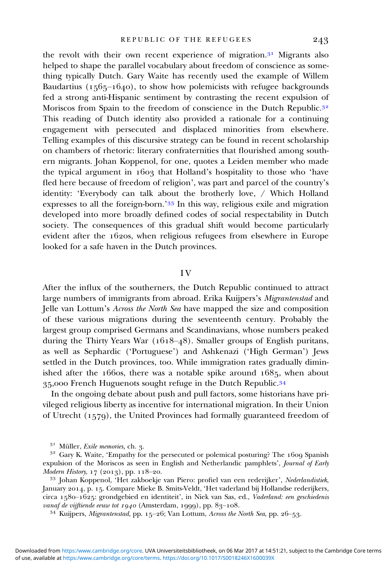the revolt with their own recent experience of migration. $31$  Migrants also helped to shape the parallel vocabulary about freedom of conscience as something typically Dutch. Gary Waite has recently used the example of Willem Baudartius  $(1565-1640)$ , to show how polemicists with refugee backgrounds fed a strong anti-Hispanic sentiment by contrasting the recent expulsion of Moriscos from Spain to the freedom of conscience in the Dutch Republic.<sup>32</sup> This reading of Dutch identity also provided a rationale for a continuing engagement with persecuted and displaced minorities from elsewhere. Telling examples of this discursive strategy can be found in recent scholarship on chambers of rhetoric: literary confraternities that flourished among southern migrants. Johan Koppenol, for one, quotes a Leiden member who made the typical argument in 1603 that Holland's hospitality to those who 'have fled here because of freedom of religion', was part and parcel of the country's identity: 'Everybody can talk about the brotherly love, / Which Holland expresses to all the foreign-born.' $33$  In this way, religious exile and migration developed into more broadly defined codes of social respectability in Dutch society. The consequences of this gradual shift would become particularly evident after the  $16$ 20s, when religious refugees from elsewhere in Europe looked for a safe haven in the Dutch provinces.

#### I V

After the influx of the southerners, the Dutch Republic continued to attract large numbers of immigrants from abroad. Erika Kuijpers's Migrantenstad and Jelle van Lottum's Across the North Sea have mapped the size and composition of these various migrations during the seventeenth century. Probably the largest group comprised Germans and Scandinavians, whose numbers peaked during the Thirty Years War  $(1618-48)$ . Smaller groups of English puritans, as well as Sephardic ('Portuguese') and Ashkenazi ('High German') Jews settled in the Dutch provinces, too. While immigration rates gradually diminished after the  $166$ os, there was a notable spike around  $1685$ , when about 35,000 French Huguenots sought refuge in the Dutch Republic.<sup>34</sup>

In the ongoing debate about push and pull factors, some historians have privileged religious liberty as incentive for international migration. In their Union of Utrecht (1579), the United Provinces had formally guaranteed freedom of

<sup>&</sup>lt;sup>31</sup> Müller, *Exile memories*, ch. 3.<br><sup>32</sup> Gary K. Waite, 'Empathy for the persecuted or polemical posturing? The 1609 Spanish expulsion of the Moriscos as seen in English and Netherlandic pamphlets', Journal of Early Modern History, 17 (2013), pp. 118–20.

<sup>&</sup>lt;sup>33</sup> Johan Koppenol, 'Het zakboekje van Piero: profiel van een rederijker', Nederlandistiek, January 2014, p. 15. Compare Mieke B. Smits-Veldt, 'Het vaderland bij Hollandse rederijkers, circa 1580-1625: grondgebied en identiteit', in Niek van Sas, ed., Vaderland: een geschiedenis vanaf de vijftiende eeuw tot 1940 (Amsterdam, 1999), pp. 83–108.<br><sup>34</sup> Kuijpers, *Migrantenstad*, pp. 15–26; Van Lottum, *Across the North Sea*, pp. 26–53.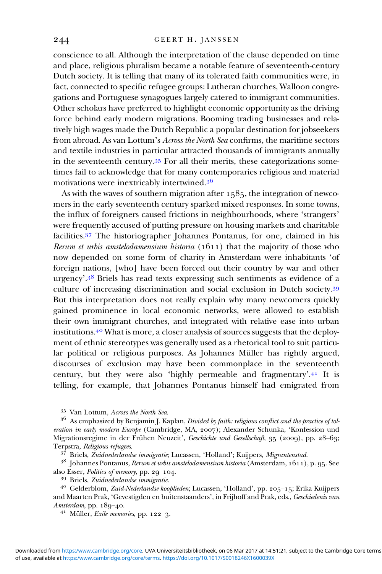conscience to all. Although the interpretation of the clause depended on time and place, religious pluralism became a notable feature of seventeenth-century Dutch society. It is telling that many of its tolerated faith communities were, in fact, connected to specific refugee groups: Lutheran churches, Walloon congregations and Portuguese synagogues largely catered to immigrant communities. Other scholars have preferred to highlight economic opportunity as the driving force behind early modern migrations. Booming trading businesses and relatively high wages made the Dutch Republic a popular destination for jobseekers from abroad. As van Lottum's Across the North Sea confirms, the maritime sectors and textile industries in particular attracted thousands of immigrants annually in the seventeenth century. $35$  For all their merits, these categorizations sometimes fail to acknowledge that for many contemporaries religious and material motivations were inextricably intertwined.

As with the waves of southern migration after  $1585$ , the integration of newcomers in the early seventeenth century sparked mixed responses. In some towns, the influx of foreigners caused frictions in neighbourhoods, where 'strangers' were frequently accused of putting pressure on housing markets and charitable facilities.<sup>37</sup> The historiographer Johannes Pontanus, for one, claimed in his Rerum et urbis amstelodamensium historia  $(1611)$  that the majority of those who now depended on some form of charity in Amsterdam were inhabitants 'of foreign nations, [who] have been forced out their country by war and other urgency'.<sup>38</sup> Briels has read texts expressing such sentiments as evidence of a culture of increasing discrimination and social exclusion in Dutch society. But this interpretation does not really explain why many newcomers quickly gained prominence in local economic networks, were allowed to establish their own immigrant churches, and integrated with relative ease into urban institutions.<sup>40</sup> What is more, a closer analysis of sources suggests that the deployment of ethnic stereotypes was generally used as a rhetorical tool to suit particular political or religious purposes. As Johannes Müller has rightly argued, discourses of exclusion may have been commonplace in the seventeenth century, but they were also 'highly permeable and fragmentary'.<sup>41</sup> It is telling, for example, that Johannes Pontanus himself had emigrated from

<sup>&</sup>lt;sup>35</sup> Van Lottum, Across the North Sea.<br><sup>36</sup> As emphasized by Benjamin J. Kaplan, *Divided by faith: religious conflict and the practice of tol*eration in early modern Europe (Cambridge, MA, 2007); Alexander Schunka, 'Konfession und Migrationsregime in der Frühen Neuzeit', Geschichte und Gesellschaft, 35 (2009), pp. 28–63;<br>Terpstra, Religious refugees.

<sup>&</sup>lt;sup>37</sup> Briels, *Zuidnederlandse immigratie*; Lucassen, 'Holland'; Kuijpers, *Migrantenstad.* <sup>38</sup> Johannes Pontanus, *Rerum et urbis amstelodamensium historia* (Amsterdam, 1611), p. 95. See also Esser, *Politics of memory*,

<sup>&</sup>lt;sup>39</sup> Briels, *Zuidnederlandse immigratie.*<br><sup>40</sup> Gelderblom, *Zuid-Nederlandse kooplieden*; Lucassen, 'Holland', pp. 205–15; Erika Kuijpers and Maarten Prak, 'Gevestigden en buitenstaanders', in Frijhoff and Prak, eds., Geschiedenis van Amsterdam, pp. 189-40.<br><sup>41</sup> Müller, *Exile memories*, pp. 122-3.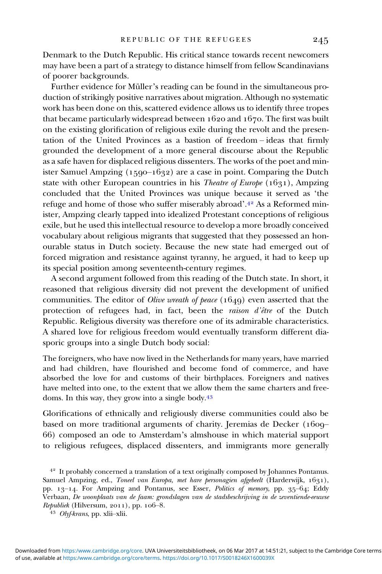Denmark to the Dutch Republic. His critical stance towards recent newcomers may have been a part of a strategy to distance himself from fellow Scandinavians of poorer backgrounds.

Further evidence for Müller's reading can be found in the simultaneous production of strikingly positive narratives about migration. Although no systematic work has been done on this, scattered evidence allows us to identify three tropes that became particularly widespread between  $1620$  and  $1670$ . The first was built on the existing glorification of religious exile during the revolt and the presentation of the United Provinces as a bastion of freedom – ideas that firmly grounded the development of a more general discourse about the Republic as a safe haven for displaced religious dissenters. The works of the poet and minister Samuel Ampzing  $(1590-1632)$  are a case in point. Comparing the Dutch state with other European countries in his *Theatre of Europe* ( $1631$ ), Ampzing concluded that the United Provinces was unique because it served as 'the refuge and home of those who suffer miserably abroad'.<sup>42</sup> As a Reformed minister, Ampzing clearly tapped into idealized Protestant conceptions of religious exile, but he used this intellectual resource to develop a more broadly conceived vocabulary about religious migrants that suggested that they possessed an honourable status in Dutch society. Because the new state had emerged out of forced migration and resistance against tyranny, he argued, it had to keep up its special position among seventeenth-century regimes.

A second argument followed from this reading of the Dutch state. In short, it reasoned that religious diversity did not prevent the development of unified communities. The editor of *Olive wreath of peace*  $(1649)$  even asserted that the protection of refugees had, in fact, been the raison d'être of the Dutch Republic. Religious diversity was therefore one of its admirable characteristics. A shared love for religious freedom would eventually transform different diasporic groups into a single Dutch body social:

The foreigners, who have now lived in the Netherlands for many years, have married and had children, have flourished and become fond of commerce, and have absorbed the love for and customs of their birthplaces. Foreigners and natives have melted into one, to the extent that we allow them the same charters and freedoms. In this way, they grow into a single body.

Glorifications of ethnically and religiously diverse communities could also be based on more traditional arguments of charity. Jeremias de Decker (1609-) composed an ode to Amsterdam's almshouse in which material support to religious refugees, displaced dissenters, and immigrants more generally

<sup>&</sup>lt;sup>42</sup> It probably concerned a translation of a text originally composed by Johannes Pontanus. Samuel Ampzing, ed., Toneel van Europa, met hare personagien afgebeelt (Harderwijk, 1631), pp. 13-14. For Ampzing and Pontanus, see Esser, Politics of memory, pp. 35-64; Eddy Verbaan, De woonplaats van de faam: grondslagen van de stadsbeschrijving in de zeventiende-eeuwse Republiek (Hilversum, 2011), pp. 106-8.<br> $^{43}$  Olyf-krans, pp. xlii–xlii.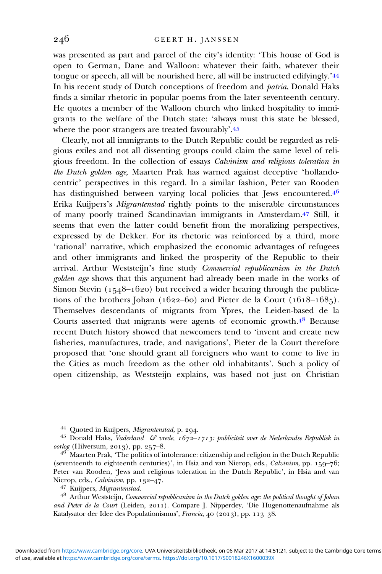was presented as part and parcel of the city's identity: 'This house of God is open to German, Dane and Walloon: whatever their faith, whatever their tongue or speech, all will be nourished here, all will be instructed edifyingly.' In his recent study of Dutch conceptions of freedom and patria, Donald Haks finds a similar rhetoric in popular poems from the later seventeenth century. He quotes a member of the Walloon church who linked hospitality to immigrants to the welfare of the Dutch state: 'always must this state be blessed, where the poor strangers are treated favourably'.45

Clearly, not all immigrants to the Dutch Republic could be regarded as religious exiles and not all dissenting groups could claim the same level of religious freedom. In the collection of essays Calvinism and religious toleration in the Dutch golden age, Maarten Prak has warned against deceptive 'hollandocentric' perspectives in this regard. In a similar fashion, Peter van Rooden has distinguished between varying local policies that Jews encountered.<sup>46</sup> Erika Kuijpers's Migrantenstad rightly points to the miserable circumstances of many poorly trained Scandinavian immigrants in Amsterdam. 47 Still, it seems that even the latter could benefit from the moralizing perspectives, expressed by de Dekker. For its rhetoric was reinforced by a third, more 'rational' narrative, which emphasized the economic advantages of refugees and other immigrants and linked the prosperity of the Republic to their arrival. Arthur Weststeijn's fine study Commercial republicanism in the Dutch golden age shows that this argument had already been made in the works of Simon Stevin  $(1548-1620)$  but received a wider hearing through the publications of the brothers Johan ( $1622-60$ ) and Pieter de la Court ( $1618-1685$ ). Themselves descendants of migrants from Ypres, the Leiden-based de la Courts asserted that migrants were agents of economic growth. $4<sup>8</sup>$  Because recent Dutch history showed that newcomers tend to 'invent and create new fisheries, manufactures, trade, and navigations', Pieter de la Court therefore proposed that 'one should grant all foreigners who want to come to live in the Cities as much freedom as the other old inhabitants'. Such a policy of open citizenship, as Weststeijn explains, was based not just on Christian

 $4<sup>6</sup>$  Maarten Prak, 'The politics of intolerance: citizenship and religion in the Dutch Republic (seventeenth to eighteenth centuries)', in Hsia and van Nierop, eds., Calvinism, pp.  $159-76$ ; Peter van Rooden, 'Jews and religious toleration in the Dutch Republic', in Hsia and van

Nierop, eds., Calvinism, pp. –. Kuijpers, Migrantenstad. Arthur Weststeijn, Commercial republicanism in the Dutch golden age: the political thought of Johan and Pieter de la Court (Leiden, 2011). Compare J. Nipperdey, 'Die Hugenottenaufnahme als Katalysator der Idee des Populationismus', Francia, 40 (2013), pp. 113-38.

<sup>&</sup>lt;sup>44</sup> Quoted in Kuijpers, *Migrantenstad*, p. 294.<br><sup>45</sup> Donald Haks, *Vaderland & vrede, 1672–1713: publiciteit over de Nederlandse Republiek in oorlog* (Hilversum, 2013), pp. 257–8.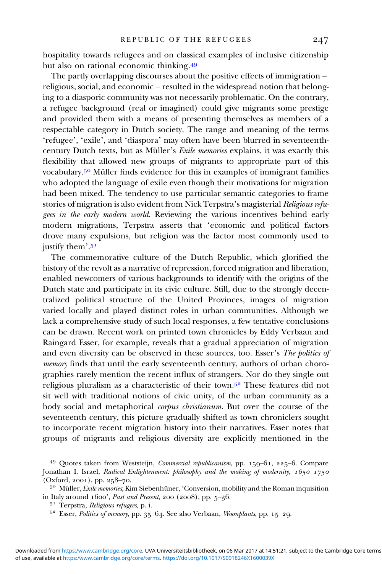hospitality towards refugees and on classical examples of inclusive citizenship but also on rational economic thinking.<sup>49</sup>

The partly overlapping discourses about the positive effects of immigration – religious, social, and economic – resulted in the widespread notion that belonging to a diasporic community was not necessarily problematic. On the contrary, a refugee background (real or imagined) could give migrants some prestige and provided them with a means of presenting themselves as members of a respectable category in Dutch society. The range and meaning of the terms 'refugee', 'exile', and 'diaspora' may often have been blurred in seventeenthcentury Dutch texts, but as Müller's Exile memories explains, it was exactly this flexibility that allowed new groups of migrants to appropriate part of this vocabulary.<sup>50</sup> Müller finds evidence for this in examples of immigrant families who adopted the language of exile even though their motivations for migration had been mixed. The tendency to use particular semantic categories to frame stories of migration is also evident from Nick Terpstra's magisterial Religious refugees in the early modern world. Reviewing the various incentives behind early modern migrations, Terpstra asserts that 'economic and political factors drove many expulsions, but religion was the factor most commonly used to justify them'.<sup>51</sup>

The commemorative culture of the Dutch Republic, which glorified the history of the revolt as a narrative of repression, forced migration and liberation, enabled newcomers of various backgrounds to identify with the origins of the Dutch state and participate in its civic culture. Still, due to the strongly decentralized political structure of the United Provinces, images of migration varied locally and played distinct roles in urban communities. Although we lack a comprehensive study of such local responses, a few tentative conclusions can be drawn. Recent work on printed town chronicles by Eddy Verbaan and Raingard Esser, for example, reveals that a gradual appreciation of migration and even diversity can be observed in these sources, too. Esser's The politics of memory finds that until the early seventeenth century, authors of urban chorographies rarely mention the recent influx of strangers. Nor do they single out religious pluralism as a characteristic of their town.<sup>52</sup> These features did not sit well with traditional notions of civic unity, of the urban community as a body social and metaphorical corpus christianum. But over the course of the seventeenth century, this picture gradually shifted as town chroniclers sought to incorporate recent migration history into their narratives. Esser notes that groups of migrants and religious diversity are explicitly mentioned in the

<sup>&</sup>lt;sup>49</sup> Quotes taken from Weststeijn, *Commercial republicanism*, pp.  $159 - 61$ ,  $225 - 6$ . Compare Jonathan I. Israel, Radical Enlightenment: philosophy and the making of modernity,  $1650-1750$ 

<sup>(</sup>Oxford, 2001), pp. 258–70.<br><sup>50</sup> Müller, *Exile memories*; Kim Siebenhüner, 'Conversion, mobility and the Roman inquisition<br>in Italy around 1600', *Past and Present*, 200 (2008), pp. 5–36.

<sup>&</sup>lt;sup>51</sup> Terpstra, *Religious refugees*, p. i.<br><sup>52</sup> Esser, *Politics of memory*, pp. 35–64. See also Verbaan, *Woonplaats*, pp. 15–29.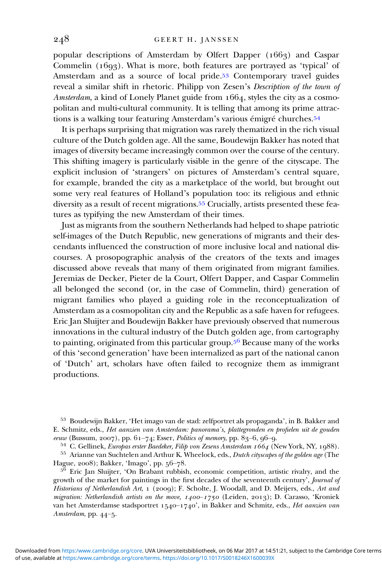popular descriptions of Amsterdam by Olfert Dapper  $(166a)$  and Caspar Commelin  $(1693)$ . What is more, both features are portrayed as 'typical' of Amsterdam and as a source of local pride.<sup>53</sup> Contemporary travel guides reveal a similar shift in rhetoric. Philipp von Zesen's Description of the town of Amsterdam, a kind of Lonely Planet guide from  $1664$ , styles the city as a cosmopolitan and multi-cultural community. It is telling that among its prime attractions is a walking tour featuring Amsterdam's various émigré churches.<sup>54</sup>

It is perhaps surprising that migration was rarely thematized in the rich visual culture of the Dutch golden age. All the same, Boudewijn Bakker has noted that images of diversity became increasingly common over the course of the century. This shifting imagery is particularly visible in the genre of the cityscape. The explicit inclusion of 'strangers' on pictures of Amsterdam's central square, for example, branded the city as a marketplace of the world, but brought out some very real features of Holland's population too: its religious and ethnic diversity as a result of recent migrations.<sup>55</sup> Crucially, artists presented these features as typifying the new Amsterdam of their times.

Just as migrants from the southern Netherlands had helped to shape patriotic self-images of the Dutch Republic, new generations of migrants and their descendants influenced the construction of more inclusive local and national discourses. A prosopographic analysis of the creators of the texts and images discussed above reveals that many of them originated from migrant families. Jeremias de Decker, Pieter de la Court, Olfert Dapper, and Caspar Commelin all belonged the second (or, in the case of Commelin, third) generation of migrant families who played a guiding role in the reconceptualization of Amsterdam as a cosmopolitan city and the Republic as a safe haven for refugees. Eric Jan Sluijter and Boudewijn Bakker have previously observed that numerous innovations in the cultural industry of the Dutch golden age, from cartography to painting, originated from this particular group.<sup>56</sup> Because many of the works of this 'second generation' have been internalized as part of the national canon of 'Dutch' art, scholars have often failed to recognize them as immigrant productions.

53 Boudewijn Bakker, 'Het imago van de stad: zelfportret als propaganda', in B. Bakker and E. Schmitz, eds., Het aanzien van Amsterdam: panorama's, plattegronden en profielen uit de gouden<br>eeuw (Bussum, 2007), pp. 61–74; Esser, Politics of memory, pp. 83–6, 96–9.

 $54$  C. Gellinek, *Europas erster Baedeker, Filip von Zesens Amsterdam 1664* (New York, NY, 1988).<br> $55$  Arianne van Suchtelen and Arthur K. Wheelock, eds., *Dutch cityscapes of the golden age* (The Hague, 2008); Bakker, 'Imago', pp.  $56-78$ .<br><sup>56</sup> Eric Jan Sluijter, 'On Brabant rubbish, economic competition, artistic rivalry, and the

growth of the market for paintings in the first decades of the seventeenth century', Journal of Historians of Netherlandish Art, 1 (2009); F. Scholte, J. Woodall, and D. Meijers, eds., Art and migration: Netherlandish artists on the move,  $1400 - 1750$  (Leiden, 2013); D. Carasso, 'Kroniek van het Amsterdamse stadsportret 1540–1740', in Bakker and Schmitz, eds., Het aanzien van Amsterdam, pp. 44-5.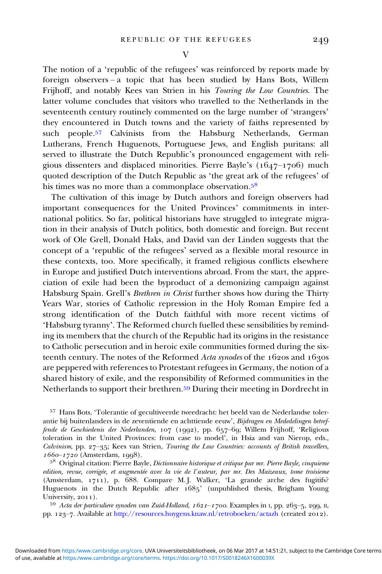The notion of a 'republic of the refugees' was reinforced by reports made by foreign observers – a topic that has been studied by Hans Bots, Willem Frijhoff, and notably Kees van Strien in his Touring the Low Countries. The latter volume concludes that visitors who travelled to the Netherlands in the seventeenth century routinely commented on the large number of 'strangers' they encountered in Dutch towns and the variety of faiths represented by such people.<sup>57</sup> Calvinists from the Habsburg Netherlands, German Lutherans, French Huguenots, Portuguese Jews, and English puritans: all served to illustrate the Dutch Republic's pronounced engagement with religious dissenters and displaced minorities. Pierre Bayle's  $(1647-1706)$  much quoted description of the Dutch Republic as 'the great ark of the refugees' of his times was no more than a commonplace observation.<sup>58</sup>

The cultivation of this image by Dutch authors and foreign observers had important consequences for the United Provinces' commitments in international politics. So far, political historians have struggled to integrate migration in their analysis of Dutch politics, both domestic and foreign. But recent work of Ole Grell, Donald Haks, and David van der Linden suggests that the concept of a 'republic of the refugees' served as a flexible moral resource in these contexts, too. More specifically, it framed religious conflicts elsewhere in Europe and justified Dutch interventions abroad. From the start, the appreciation of exile had been the byproduct of a demonizing campaign against Habsburg Spain. Grell's *Brethren in Christ* further shows how during the Thirty Years War, stories of Catholic repression in the Holy Roman Empire fed a strong identification of the Dutch faithful with more recent victims of 'Habsburg tyranny'. The Reformed church fuelled these sensibilities by reminding its members that the church of the Republic had its origins in the resistance to Catholic persecution and in heroic exile communities formed during the sixteenth century. The notes of the Reformed Acta synodes of the  $162$ os and  $163$ os are peppered with references to Protestant refugees in Germany, the notion of a shared history of exile, and the responsibility of Reformed communities in the Netherlands to support their brethren.<sup>59</sup> During their meeting in Dordrecht in

<sup>57</sup> Hans Bots, 'Tolerantie of gecultiveerde tweedracht: het beeld van de Nederlandse tolerantie bij buitenlanders in de zeventiende en achttiende eeuw', Bijdragen en Mededelingen betreffende de Geschiedenis der Nederlanden, 107 (1992), pp. 657-69; Willem Frijhoff, 'Religious toleration in the United Provinces: from case to model', in Hsia and van Nierop, eds., Calvinism, pp. 27-35; Kees van Strien, Touring the Low Countries: accounts of British travellers,  $1660 - 1720$  (Amsterdam, 1998).

 $5^8$  Original citation: Pierre Bayle, *Dictionnaire historique et critique par mr. Pierre Bayle, cinquieme* edition, revue, corrigée, et augmentée avec la vie de l'auteur, par mr. Des Maizeaux, tome troisieme (Amsterdam,  $1711$ ), p.  $\overline{688}$ . Compare M.J. Walker, 'La grande arche des fugitifs? Huguenots in the Dutch Republic after 1685' (unpublished thesis, Brigham Young

University, 2011).<br><sup>59</sup> Acta der particuliere synoden van Zuid-Holland, 1621–1700. Examples in 1, pp. 263–5, 299, II, pp. 123-7. Available at <http://resources.huygens.knaw.nl/retroboeken/actazh> (created 2012).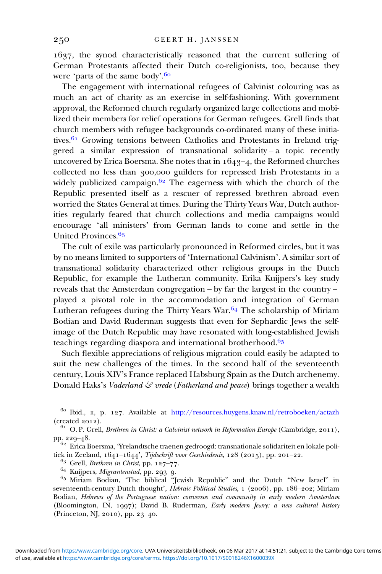, the synod characteristically reasoned that the current suffering of German Protestants affected their Dutch co-religionists, too, because they were 'parts of the same body'.

The engagement with international refugees of Calvinist colouring was as much an act of charity as an exercise in self-fashioning. With government approval, the Reformed church regularly organized large collections and mobilized their members for relief operations for German refugees. Grell finds that church members with refugee backgrounds co-ordinated many of these initiatives.  $61$  Growing tensions between Catholics and Protestants in Ireland triggered a similar expression of transnational solidarity – a topic recently uncovered by Erica Boersma. She notes that in  $1643-4$ , the Reformed churches collected no less than 300,000 guilders for repressed Irish Protestants in a widely publicized campaign.<sup> $62$ </sup> The eagerness with which the church of the Republic presented itself as a rescuer of repressed brethren abroad even worried the States General at times. During the Thirty Years War, Dutch authorities regularly feared that church collections and media campaigns would encourage 'all ministers' from German lands to come and settle in the United Provinces.<sup>63</sup>

The cult of exile was particularly pronounced in Reformed circles, but it was by no means limited to supporters of 'International Calvinism'. A similar sort of transnational solidarity characterized other religious groups in the Dutch Republic, for example the Lutheran community. Erika Kuijpers's key study reveals that the Amsterdam congregation – by far the largest in the country – played a pivotal role in the accommodation and integration of German Lutheran refugees during the Thirty Years War.  $64$  The scholarship of Miriam Bodian and David Ruderman suggests that even for Sephardic Jews the selfimage of the Dutch Republic may have resonated with long-established Jewish teachings regarding diaspora and international brotherhood.<sup>65</sup>

Such flexible appreciations of religious migration could easily be adapted to suit the new challenges of the times. In the second half of the seventeenth century, Louis XIV's France replaced Habsburg Spain as the Dutch archenemy. Donald Haks's Vaderland  $\mathcal{E}$  vrede (Fatherland and peace) brings together a wealth

<sup>63</sup> Grell, *Brethren in Christ*, pp. 127–77.<br><sup>64</sup> Kuijpers, *Migrantenstad*, pp. 293–9.<br><sup>65</sup> Miriam Bodian, 'The biblical "Jewish Republic" and the Dutch "New Israel" in seventeenth-century Dutch thought', *Hebraic Political Studies*, 1 (2006), pp. 186-202; Miriam Bodian, Hebrews of the Portuguese nation: conversos and community in early modern Amsterdam (Bloomington, IN, 1997); David B. Ruderman, Early modern Jewry: a new cultural history (Princeton, NJ, 2010), pp. 23-40.

 $^{60}$ Ibid., II, p. 127. Available at <http://resources.huygens.knaw.nl/retroboeken/actazh> (created 2012).

<sup>&</sup>lt;sup>61</sup> O. P. Grell, *Brethren in Christ: a Calvinist network in Reformation Europe* (Cambridge, 2011), pp. 229–48.

<sup>&</sup>lt;sup>62</sup> Erica Boersma, 'Yrelandtsche traenen gedroogd: transnationale solidariteit en lokale politiek in Zeeland, 1641–1644', *Tijdschrift voor Geschiedenis*, 128 (2015), pp. 201–22.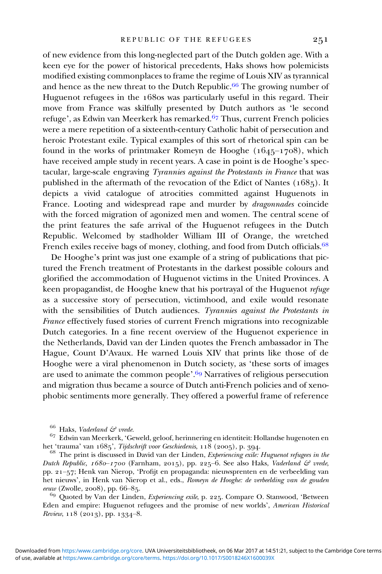of new evidence from this long-neglected part of the Dutch golden age. With a keen eye for the power of historical precedents, Haks shows how polemicists modified existing commonplaces to frame the regime of Louis XIV as tyrannical and hence as the new threat to the Dutch Republic.<sup>66</sup> The growing number of Huguenot refugees in the 1680s was particularly useful in this regard. Their move from France was skilfully presented by Dutch authors as 'le second refuge', as Edwin van Meerkerk has remarked.  $67$  Thus, current French policies were a mere repetition of a sixteenth-century Catholic habit of persecution and heroic Protestant exile. Typical examples of this sort of rhetorical spin can be found in the works of printmaker Romeyn de Hooghe  $(1645-1708)$ , which have received ample study in recent years. A case in point is de Hooghe's spectacular, large-scale engraving Tyrannies against the Protestants in France that was published in the aftermath of the revocation of the Edict of Nantes  $(1685)$ . It depicts a vivid catalogue of atrocities committed against Huguenots in France. Looting and widespread rape and murder by *dragonnades* coincide with the forced migration of agonized men and women. The central scene of the print features the safe arrival of the Huguenot refugees in the Dutch Republic. Welcomed by stadholder William III of Orange, the wretched French exiles receive bags of money, clothing, and food from Dutch officials.<sup>68</sup>

De Hooghe's print was just one example of a string of publications that pictured the French treatment of Protestants in the darkest possible colours and glorified the accommodation of Huguenot victims in the United Provinces. A keen propagandist, de Hooghe knew that his portrayal of the Huguenot refuge as a successive story of persecution, victimhood, and exile would resonate with the sensibilities of Dutch audiences. Tyrannies against the Protestants in France effectively fused stories of current French migrations into recognizable Dutch categories. In a fine recent overview of the Huguenot experience in the Netherlands, David van der Linden quotes the French ambassador in The Hague, Count D'Avaux. He warned Louis XIV that prints like those of de Hooghe were a viral phenomenon in Dutch society, as 'these sorts of images are used to animate the common people'.<sup>69</sup> Narratives of religious persecution and migration thus became a source of Dutch anti-French policies and of xenophobic sentiments more generally. They offered a powerful frame of reference

 $66$  Haks, Vaderland  $\mathcal{C}$  vrede.

 $^{67}$ Edwin van Meerkerk, 'Geweld, geloof, herinnering en identiteit: Hollandse hugenoten en het 'trauma' van 1685', *Tijdschrift voor Geschiedenis*, 118 (2005), p. 394.

 $68$  The print is discussed in David van der Linden, Experiencing exile: Huguenot refugees in the Dutch Republic,  $1680-1700$  (Farnham, 2015), pp. 225-6. See also Haks, Vaderland  $\mathcal{E}$  vrede, pp. 21-57; Henk van Nierop, 'Profijt en propaganda: nieuwsprenten en de verbeelding van het nieuws', in Henk van Nierop et al., eds., Romeyn de Hooghe: de verbeelding van de gouden eeuw (Zwolle, 2008), pp. 66–85.<br><sup>69</sup> Quoted by Van der Linden, Experiencing exile, p. 225. Compare O. Stanwood, 'Between

Eden and empire: Huguenot refugees and the promise of new worlds', American Historical Review,  $118$  (2013), pp. 1334-8.